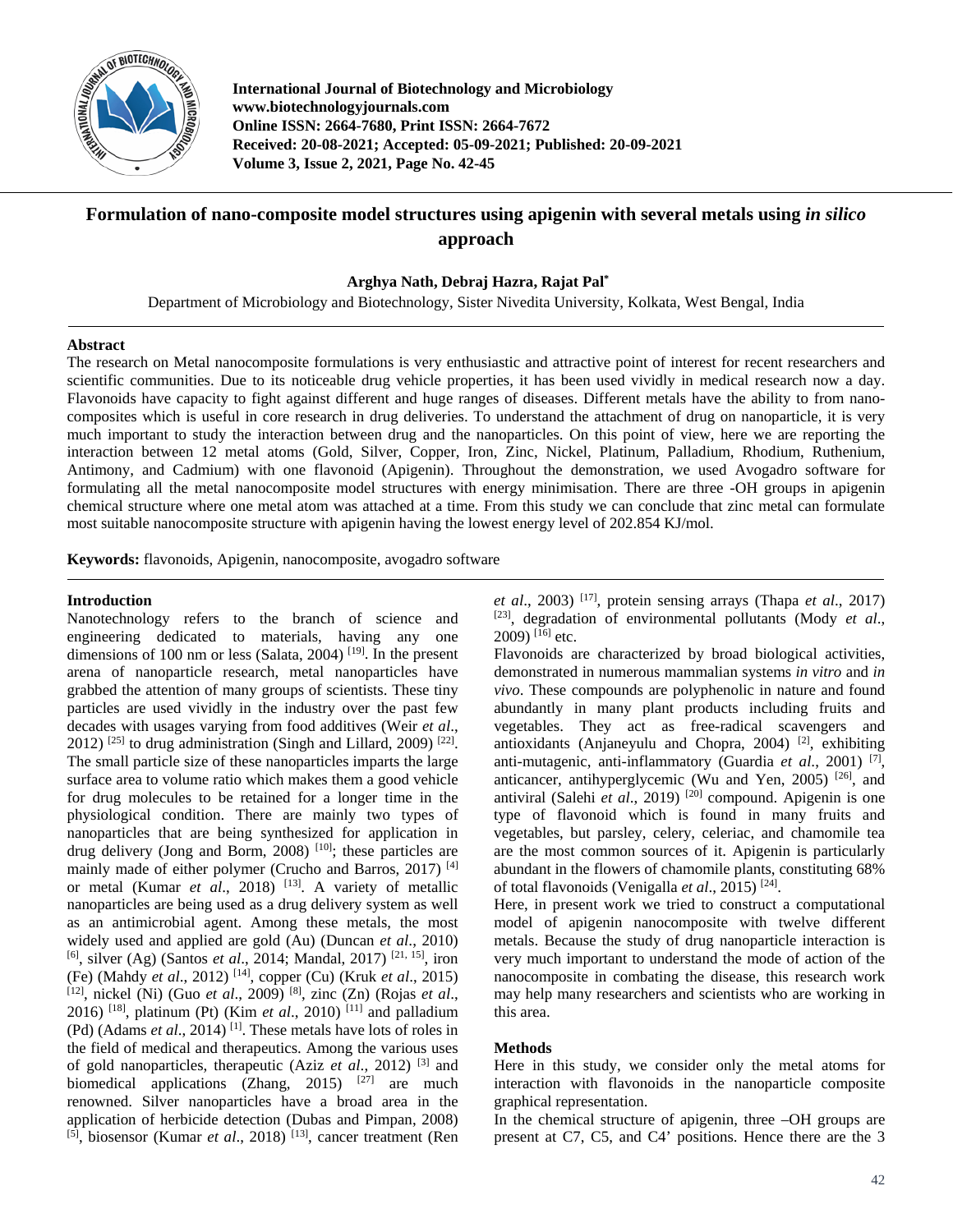

**International Journal of Biotechnology and Microbiology www.biotechnologyjournals.com Online ISSN: 2664-7680, Print ISSN: 2664-7672 Received: 20-08-2021; Accepted: 05-09-2021; Published: 20-09-2021 Volume 3, Issue 2, 2021, Page No. 42-45**

# **Formulation of nano-composite model structures using apigenin with several metals using** *in silico* **approach**

**Arghya Nath, Debraj Hazra, Rajat Pal\***

Department of Microbiology and Biotechnology, Sister Nivedita University, Kolkata, West Bengal, India

#### **Abstract**

The research on Metal nanocomposite formulations is very enthusiastic and attractive point of interest for recent researchers and scientific communities. Due to its noticeable drug vehicle properties, it has been used vividly in medical research now a day. Flavonoids have capacity to fight against different and huge ranges of diseases. Different metals have the ability to from nanocomposites which is useful in core research in drug deliveries. To understand the attachment of drug on nanoparticle, it is very much important to study the interaction between drug and the nanoparticles. On this point of view, here we are reporting the interaction between 12 metal atoms (Gold, Silver, Copper, Iron, Zinc, Nickel, Platinum, Palladium, Rhodium, Ruthenium, Antimony, and Cadmium) with one flavonoid (Apigenin). Throughout the demonstration, we used Avogadro software for formulating all the metal nanocomposite model structures with energy minimisation. There are three -OH groups in apigenin chemical structure where one metal atom was attached at a time. From this study we can conclude that zinc metal can formulate most suitable nanocomposite structure with apigenin having the lowest energy level of 202.854 KJ/mol.

**Keywords:** flavonoids, Apigenin, nanocomposite, avogadro software

## **Introduction**

Nanotechnology refers to the branch of science and engineering dedicated to materials, having any one dimensions of 100 nm or less (Salata, 2004)<sup>[19]</sup>. In the present arena of nanoparticle research, metal nanoparticles have grabbed the attention of many groups of scientists. These tiny particles are used vividly in the industry over the past few decades with usages varying from food additives (Weir *et al*.,  $2012$ ) <sup>[25]</sup> to drug administration (Singh and Lillard, 2009)<sup>[22]</sup>. The small particle size of these nanoparticles imparts the large surface area to volume ratio which makes them a good vehicle for drug molecules to be retained for a longer time in the physiological condition. There are mainly two types of nanoparticles that are being synthesized for application in drug delivery (Jong and Borm, 2008)<sup>[10]</sup>; these particles are mainly made of either polymer (Crucho and Barros, 2017)<sup>[4]</sup> or metal (Kumar *et al.*, 2018) <sup>[13]</sup>. A variety of metallic nanoparticles are being used as a drug delivery system as well as an antimicrobial agent. Among these metals, the most widely used and applied are gold (Au) (Duncan *et al*., 2010) <sup>[6]</sup>, silver (Ag) (Santos *et al.*, 2014; Mandal, 2017)<sup>[21, 15]</sup>, iron (Fe) (Mahdy *et al*., 2012) [14] , copper (Cu) (Kruk *et al*., 2015) [12] , nickel (Ni) (Guo *et al*., 2009) [8] , zinc (Zn) (Rojas *et al*., 2016) <sup>[18]</sup>, platinum (Pt) (Kim *et al.*, 2010) <sup>[11]</sup> and palladium (Pd) (Adams *et al.*, 2014)<sup>[1]</sup>. These metals have lots of roles in the field of medical and therapeutics. Among the various uses of gold nanoparticles, therapeutic (Aziz *et al*., 2012) [3] and biomedical applications (Zhang, 2015)  $[27]$  are much renowned. Silver nanoparticles have a broad area in the application of herbicide detection (Dubas and Pimpan, 2008) <sup>[5]</sup>, biosensor (Kumar *et al.*, 2018)<sup>[13]</sup>, cancer treatment (Ren

*et al*., 2003) [17] , protein sensing arrays (Thapa *et al*., 2017) [23] , degradation of environmental pollutants (Mody *et al*.,  $2009$ ) <sup>[16]</sup> etc.

Flavonoids are characterized by broad biological activities, demonstrated in numerous mammalian systems *in vitro* and *in vivo*. These compounds are polyphenolic in nature and found abundantly in many plant products including fruits and vegetables. They act as free-radical scavengers and antioxidants (Anjaneyulu and Chopra,  $2004$ )<sup>[2]</sup>, exhibiting anti-mutagenic, anti-inflammatory (Guardia *et al*., 2001) [7] , anticancer, antihyperglycemic (Wu and Yen, 2005)<sup>[26]</sup>, and antiviral (Salehi et al., 2019)<sup>[20]</sup> compound. Apigenin is one type of flavonoid which is found in many fruits and vegetables, but parsley, celery, celeriac, and chamomile tea are the most common sources of it. Apigenin is particularly abundant in the flowers of chamomile plants, constituting 68% of total flavonoids (Venigalla *et al*., 2015) [24] .

Here, in present work we tried to construct a computational model of apigenin nanocomposite with twelve different metals. Because the study of drug nanoparticle interaction is very much important to understand the mode of action of the nanocomposite in combating the disease, this research work may help many researchers and scientists who are working in this area.

## **Methods**

Here in this study, we consider only the metal atoms for interaction with flavonoids in the nanoparticle composite graphical representation.

In the chemical structure of apigenin, three –OH groups are present at C7, C5, and C4' positions. Hence there are the 3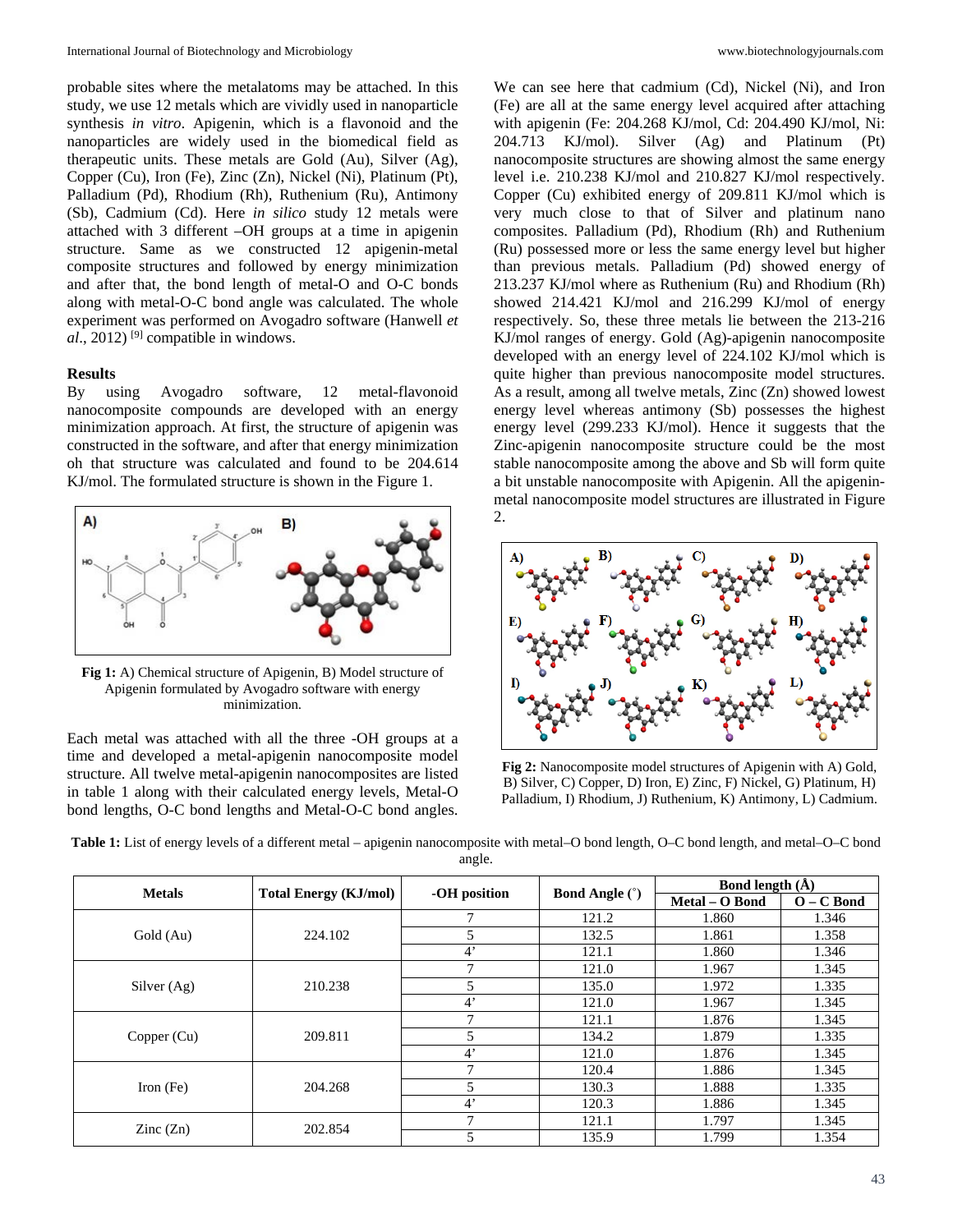probable sites where the metalatoms may be attached. In this study, we use 12 metals which are vividly used in nanoparticle synthesis *in vitro*. Apigenin, which is a flavonoid and the nanoparticles are widely used in the biomedical field as therapeutic units. These metals are Gold (Au), Silver (Ag), Copper (Cu), Iron (Fe), Zinc (Zn), Nickel (Ni), Platinum (Pt), Palladium (Pd), Rhodium (Rh), Ruthenium (Ru), Antimony (Sb), Cadmium (Cd). Here *in silico* study 12 metals were attached with 3 different –OH groups at a time in apigenin structure. Same as we constructed 12 apigenin-metal composite structures and followed by energy minimization and after that, the bond length of metal-O and O-C bonds along with metal-O-C bond angle was calculated. The whole experiment was performed on Avogadro software (Hanwell *et al*., 2012) [9] compatible in windows.

#### **Results**

By using Avogadro software, 12 metal-flavonoid nanocomposite compounds are developed with an energy minimization approach. At first, the structure of apigenin was constructed in the software, and after that energy minimization oh that structure was calculated and found to be 204.614 KJ/mol. The formulated structure is shown in the Figure 1.



**Fig 1:** A) Chemical structure of Apigenin, B) Model structure of Apigenin formulated by Avogadro software with energy minimization.

Each metal was attached with all the three -OH groups at a time and developed a metal-apigenin nanocomposite model structure. All twelve metal-apigenin nanocomposites are listed in table 1 along with their calculated energy levels, Metal-O bond lengths, O-C bond lengths and Metal-O-C bond angles.

We can see here that cadmium (Cd), Nickel (Ni), and Iron (Fe) are all at the same energy level acquired after attaching with apigenin (Fe: 204.268 KJ/mol, Cd: 204.490 KJ/mol, Ni: 204.713 KJ/mol). Silver (Ag) and Platinum (Pt) nanocomposite structures are showing almost the same energy level i.e. 210.238 KJ/mol and 210.827 KJ/mol respectively. Copper (Cu) exhibited energy of 209.811 KJ/mol which is very much close to that of Silver and platinum nano composites. Palladium (Pd), Rhodium (Rh) and Ruthenium (Ru) possessed more or less the same energy level but higher than previous metals. Palladium (Pd) showed energy of 213.237 KJ/mol where as Ruthenium (Ru) and Rhodium (Rh) showed 214.421 KJ/mol and 216.299 KJ/mol of energy respectively. So, these three metals lie between the 213-216 KJ/mol ranges of energy. Gold (Ag)-apigenin nanocomposite developed with an energy level of 224.102 KJ/mol which is quite higher than previous nanocomposite model structures. As a result, among all twelve metals, Zinc (Zn) showed lowest energy level whereas antimony (Sb) possesses the highest energy level (299.233 KJ/mol). Hence it suggests that the Zinc-apigenin nanocomposite structure could be the most stable nanocomposite among the above and Sb will form quite a bit unstable nanocomposite with Apigenin. All the apigeninmetal nanocomposite model structures are illustrated in Figure 2.



**Fig 2:** Nanocomposite model structures of Apigenin with A) Gold, B) Silver, C) Copper, D) Iron, E) Zinc, F) Nickel, G) Platinum, H) Palladium, I) Rhodium, J) Ruthenium, K) Antimony, L) Cadmium.

| Table 1: List of energy levels of a different metal - apigenin nanocomposite with metal-O bond length, O-C bond length, and metal-O-C bond |  |
|--------------------------------------------------------------------------------------------------------------------------------------------|--|
| angle.                                                                                                                                     |  |

| <b>Metals</b>            |                              | -OH position | <b>Bond Angle (°)</b> | Bond length $(A)$ |              |
|--------------------------|------------------------------|--------------|-----------------------|-------------------|--------------|
|                          | <b>Total Energy (KJ/mol)</b> |              |                       | Metal - O Bond    | $O - C$ Bond |
| Gold (Au)                |                              |              | 121.2                 | 1.860             | 1.346        |
|                          | 224.102                      | 5            | 132.5                 | 1.861             | 1.358        |
|                          |                              | $4^{\circ}$  | 121.1                 | 1.860             | 1.346        |
| Silver (Ag)              |                              | $\mathbf{r}$ | 121.0                 | 1.967             | 1.345        |
|                          | 210.238                      | 5            | 135.0                 | 1.972             | 1.335        |
|                          |                              | $4^{\circ}$  | 121.0                 | 1.967             | 1.345        |
| Copper $(Cu)$            | 209.811                      | $\mathbf{r}$ | 121.1                 | 1.876             | 1.345        |
|                          |                              |              | 134.2                 | 1.879             | 1.335        |
|                          |                              | $4^{\circ}$  | 121.0                 | 1.876             | 1.345        |
| Iron $(Fe)$              | 204.268                      |              | 120.4                 | 1.886             | 1.345        |
|                          |                              |              | 130.3                 | 1.888             | 1.335        |
|                          |                              | $4^{\circ}$  | 120.3                 | 1.886             | 1.345        |
| $\text{Zinc}(\text{Zn})$ | 202.854                      |              | 121.1                 | 1.797             | 1.345        |
|                          |                              |              | 135.9                 | 1.799             | 1.354        |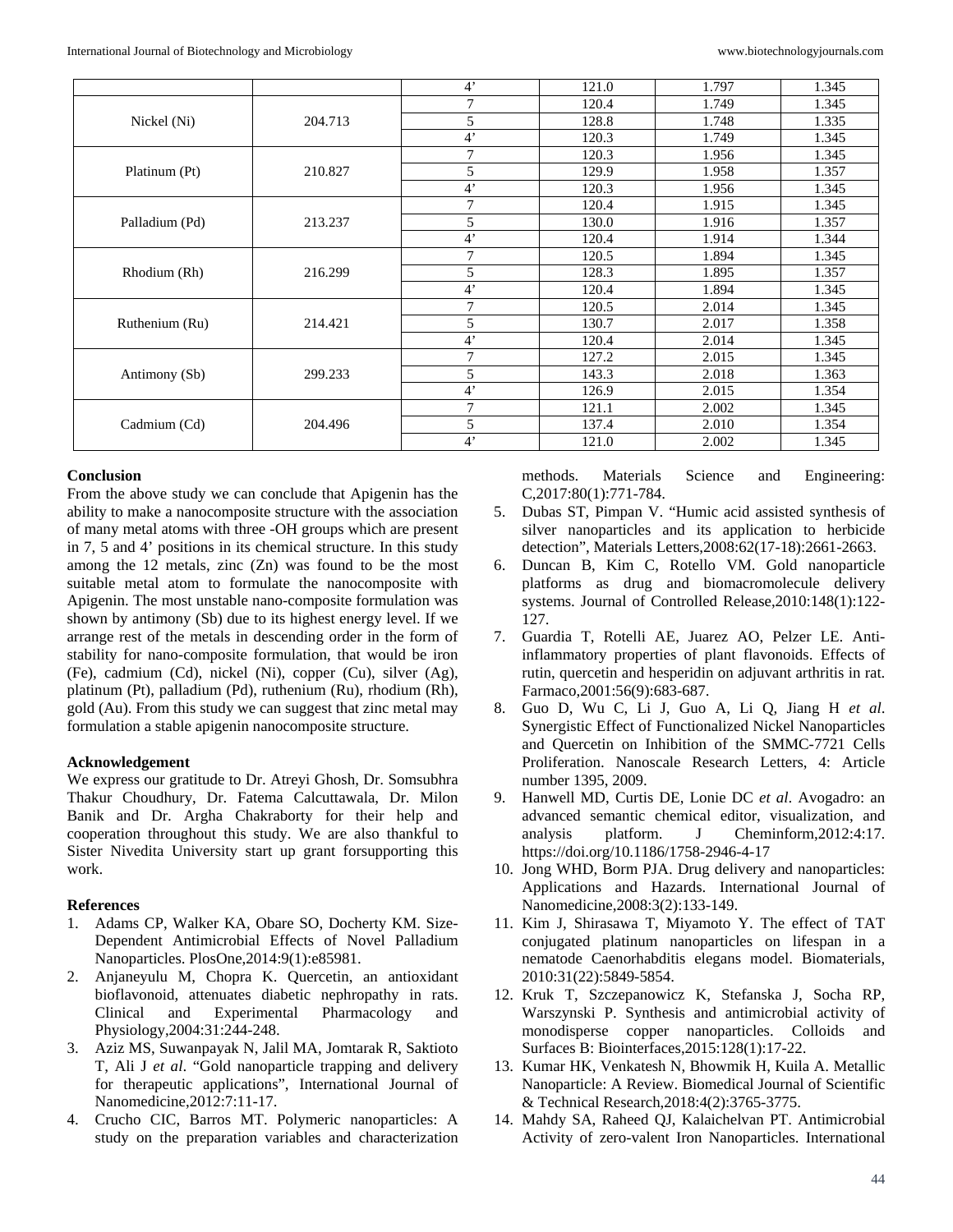|                |         | $4^{\circ}$ | 121.0 | 1.797 | 1.345 |
|----------------|---------|-------------|-------|-------|-------|
| Nickel (Ni)    | 204.713 | 7           | 120.4 | 1.749 | 1.345 |
|                |         | 5           | 128.8 | 1.748 | 1.335 |
|                |         | $4^{\circ}$ | 120.3 | 1.749 | 1.345 |
| Platinum (Pt)  | 210.827 | 7           | 120.3 | 1.956 | 1.345 |
|                |         | 5           | 129.9 | 1.958 | 1.357 |
|                |         | $4^{\circ}$ | 120.3 | 1.956 | 1.345 |
| Palladium (Pd) | 213.237 | 7           | 120.4 | 1.915 | 1.345 |
|                |         | 5           | 130.0 | 1.916 | 1.357 |
|                |         | $4^{\circ}$ | 120.4 | 1.914 | 1.344 |
| Rhodium (Rh)   | 216.299 | 7           | 120.5 | 1.894 | 1.345 |
|                |         | 5           | 128.3 | 1.895 | 1.357 |
|                |         | $4^{\circ}$ | 120.4 | 1.894 | 1.345 |
| Ruthenium (Ru) | 214.421 | 7           | 120.5 | 2.014 | 1.345 |
|                |         | 5           | 130.7 | 2.017 | 1.358 |
|                |         | $4^{\circ}$ | 120.4 | 2.014 | 1.345 |
| Antimony (Sb)  | 299.233 | 7           | 127.2 | 2.015 | 1.345 |
|                |         | 5           | 143.3 | 2.018 | 1.363 |
|                |         | $4^{\circ}$ | 126.9 | 2.015 | 1.354 |
| Cadmium (Cd)   |         | 7           | 121.1 | 2.002 | 1.345 |
|                | 204.496 | 5           | 137.4 | 2.010 | 1.354 |
|                |         | $4^"$       | 121.0 | 2.002 | 1.345 |

## **Conclusion**

From the above study we can conclude that Apigenin has the ability to make a nanocomposite structure with the association of many metal atoms with three -OH groups which are present in 7, 5 and 4' positions in its chemical structure. In this study among the  $12$  metals, zinc  $(Zn)$  was found to be the most suitable metal atom to formulate the nanocomposite with Apigenin. The most unstable nano-composite formulation was shown by antimony (Sb) due to its highest energy level. If we arrange rest of the metals in descending order in the form of stability for nano-composite formulation, that would be iron (Fe), cadmium (Cd), nickel (Ni), copper (Cu), silver (Ag), platinum (Pt), palladium (Pd), ruthenium (Ru), rhodium (Rh), gold (Au). From this study we can suggest that zinc metal may formulation a stable apigenin nanocomposite structure.

## **Acknowledgement**

We express our gratitude to Dr. Atreyi Ghosh, Dr. Somsubhra Thakur Choudhury, Dr. Fatema Calcuttawala, Dr. Milon Banik and Dr. Argha Chakraborty for their help and cooperation throughout this study. We are also thankful to Sister Nivedita University start up grant forsupporting this work.

## **References**

- 1. Adams CP, Walker KA, Obare SO, Docherty KM. Size-Dependent Antimicrobial Effects of Novel Palladium Nanoparticles. PlosOne,2014:9(1):e85981.
- 2. Anjaneyulu M, Chopra K. Quercetin, an antioxidant bioflavonoid, attenuates diabetic nephropathy in rats. Clinical and Experimental Pharmacology and Physiology,2004:31:244-248.
- 3. Aziz MS, Suwanpayak N, Jalil MA, Jomtarak R, Saktioto T, Ali J *et al*. "Gold nanoparticle trapping and delivery for therapeutic applications", International Journal of Nanomedicine,2012:7:11-17.
- 4. Crucho CIC, Barros MT. Polymeric nanoparticles: A study on the preparation variables and characterization

methods. Materials Science and Engineering: C,2017:80(1):771-784.

- 5. Dubas ST, Pimpan V. "Humic acid assisted synthesis of silver nanoparticles and its application to herbicide detection", Materials Letters,2008:62(17-18):2661-2663.
- 6. Duncan B, Kim C, Rotello VM. Gold nanoparticle platforms as drug and biomacromolecule delivery systems. Journal of Controlled Release,2010:148(1):122- 127.
- 7. Guardia T, Rotelli AE, Juarez AO, Pelzer LE. Antiinflammatory properties of plant flavonoids. Effects of rutin, quercetin and hesperidin on adjuvant arthritis in rat. Farmaco,2001:56(9):683-687.
- 8. Guo D, Wu C, Li J, Guo A, Li Q, Jiang H *et al*. Synergistic Effect of Functionalized Nickel Nanoparticles and Quercetin on Inhibition of the SMMC-7721 Cells Proliferation. Nanoscale Research Letters, 4: Article number 1395, 2009.
- 9. Hanwell MD, Curtis DE, Lonie DC *et al*. Avogadro: an advanced semantic chemical editor, visualization, and analysis platform. J Cheminform,2012:4:17. https://doi.org/10.1186/1758-2946-4-17
- 10. Jong WHD, Borm PJA. Drug delivery and nanoparticles: Applications and Hazards. International Journal of Nanomedicine,2008:3(2):133-149.
- 11. Kim J, Shirasawa T, Miyamoto Y. The effect of TAT conjugated platinum nanoparticles on lifespan in a nematode Caenorhabditis elegans model. Biomaterials, 2010:31(22):5849-5854.
- 12. Kruk T, Szczepanowicz K, Stefanska J, Socha RP, Warszynski P. Synthesis and antimicrobial activity of monodisperse copper nanoparticles. Colloids and Surfaces B: Biointerfaces,2015:128(1):17-22.
- 13. Kumar HK, Venkatesh N, Bhowmik H, Kuila A. Metallic Nanoparticle: A Review. Biomedical Journal of Scientific & Technical Research,2018:4(2):3765-3775.
- 14. Mahdy SA, Raheed QJ, Kalaichelvan PT. Antimicrobial Activity of zero-valent Iron Nanoparticles. International